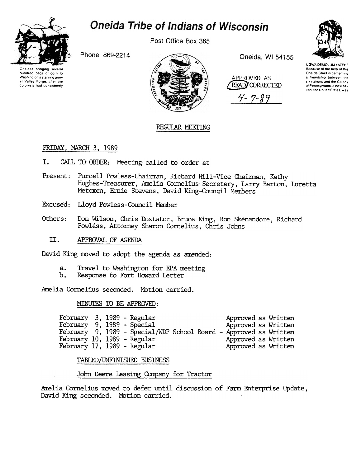

# **Oneida Tribe of Indians of Wisconsin**

Post Office Box 365

Phone: 869-2214

Oneidas bringing several hundred bags of corn to Washington's starving army at Valley Forge, after the colonists had consistently



Oneida, WI 54155

APPROVED AS READ CORRECTED  $4 - 7 - 89$ 



UGWA DEMOLUM YATEHE Because of the help of this Oneida Chief in cementing a friendship between the six nations and the Colony of Pennsylvania, a new nation, the United States, was

### REGULAR MEETING

#### FRIDAY, MARCH 3, 1989

- I. CALL TO ORDER: Meeting called to order at
- Present: Purcell Powless-Chairman, Richard Hill-Vice Chairman, Kathy Hughes-Treasurer, Amelia Cornelius-Secretary, Larry Barton, Loretta Metoxen, Ernie Stevens, David King-Council Members
- Excused: Lloyd Powless-Council Member
- Others: Don Wilson, Chris Doxtator, Bruce King, Ron Skenandore, Richard Powless, Attorney Sharon Cornelius, Chris Johns
	- II. APPROVAL OF AGENDA

David King moved to adopt the agenda as amended:

- Travel to Washington for EPA meeting  $a.$
- Ъ. Response to Fort Howard Letter

Amelia Cornelius seconded. Motion carried.

#### MINUTES TO BE APPROVED:

| February 3, 1989 - Regular  |  |                                                                   |  | Approved as Written |  |
|-----------------------------|--|-------------------------------------------------------------------|--|---------------------|--|
| February 9, 1989 - Special  |  |                                                                   |  | Approved as Written |  |
|                             |  | February 9, 1989 - Special/WDP School Board - Approved as Written |  |                     |  |
| February 10, 1989 - Regular |  |                                                                   |  | Approved as Written |  |
| February 17, 1989 - Regular |  |                                                                   |  | Approved as Written |  |

TABLED/UNFINISHED BUSINESS

John Deere Leasing Company for Tractor

Amelia Cornelius moved to defer until discussion of Farm Enterprise Update, David King seconded. Motion carried.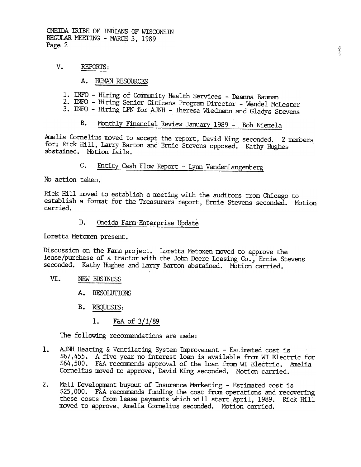ONEIDA TRIBE OF INDIANS OF WISCONSIN REGULAR MEETING - MARCH 3, 1989 Page 2

#### v. REPORTS:

- HUMAN RESOURCES
- 1. INFO Hiring of Community Health Services Deanna Bauman
- 2. INFO -Hiring Senior Citizens Program Director -Wendel McLester
- 3. INFO Hiring LPN for AJNH Theresa Wiedmann and Gladys Stevens

## B. Monthly Financial Review January 1989 - Bob Niemela

Amelia Cornelius moved to accept the report, David King seconded. 2 members for; Rick Hill, Larry Barton and Ernie Stevens opposed. Kathy Hughes abstained. Motion fails.

### C. Entity Cash Flow Report - Lynn VandenLangenberg

No action taken.

Rick Hill moved to establish a meeting with the auditors from Chicago to establish a format for the Treasurers report, Ernie Stevens seconded. Motion carried.

#### D. Oneida Farm Enterprise Update

IDretta Metoxen present.

Discussion on the Farm project. Loretta Metoxen moved to approve the lease/purchase of a tractor with the John Deere Leasing Co., Ernie Stevens seconded. Kathy Hughes and Larry Barton abstained. Motion carried.

#### VI. NEW BUSmESS

- A. RESOLUTIONS
- B. REQUESTS:
	-

The following recommendations are made:

- 1. F&A of 3/1/8<br>The following recommendatio<br>1. AJNH Heating & Ventilating<br>\$67,455. A five year no in<br>\$64,500. F&A recommends ap<br>Cornelius moved to approve,<br>2. Mall Development buyout of<br>\$25,000. F&A recommends functions<br>th 1. AJNH Heating & Ventilating System Improvement - Estimated cost is \$67,455. A five year no interest loan is available fram WI Electric for \$64,500. F&A recommends approval of the loan from WI Electric. Amelia Cornelius moved to approve, David King seconded. Motion carried.
	- Mall Development buyout of Insurance Marketing Estimated cost is \$25,000. F&A recommends funding the cost from operations and recovering these costs from lease payments which will start April, 1989. Rick Hill moved to approve, Amelia Cornelius seconded. MOtion carried.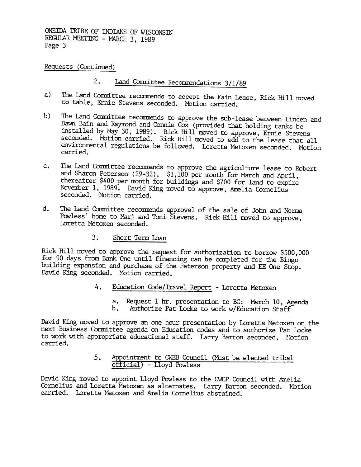ONEIDA TRIBE OF INDIANS OF WISCONSIN REGULAR MEETING - MARCH 3, 1989 Page 3

Requests (Continued)

- 2. Land Committee Recommendations 3/1/89
- The Land Committee recommends to accept the Fain Lease, Rick Hill moved to table, Ernie Stevens seconded. Mbtion carried. a)
- b) The Land Committee recommends to approve the sub-lease between Linden and Dawn Bain and Raymond and Connie Cox (provided that holding tanks be installed by May 30, 1989). Rick Hill moved to approve, Ernie Stevens seconded. Motion carried. Rick Hill moved to add to the lease that all environmental regulations be followed. Loretta Metoxen seconded. Motion carried.
- The Land Committee recommends to approve the agriculture lease to Robert  $c_{\bullet}$ and Sharon Peterson (29-32). \$1,100 per month for March and April, thereafter \$400 per month for buildings and \$700 for land to expire November 1, 1989. David King moved to approve, Amelia Cornelius seconded. Motion carried.
- d. The Land Committee recommends approval of the sale of John and Norma Powless' home to Marj and Toni Stevens. Rick Hill moved to approve, Loretta Metoxen seconded.
	- $3.$ Short Term loan

Rick Hill moved to approve the request for authorization to borrow \$500,000 for 90 days from Bank One until financing can be completed for the Bingo building expansion and purchase of the Peterson property and EE One Stop. David King seconded. Motion carried.

- - a. Request 1 hr. presentation to BC: March 10, Agenda
	- b. Authorize Pat Locke to work w/Education Staff

4. Education Code/Travel Report - Loretta Metoxer<br>
4. Request 1 hr. presentation to EC: March 1<br>
1. Authorize Pat Locke to work w/Education S<br>
David King moved to approve an one hour presentation by Loretta Meto<br>
next Busi David King moved to approve an one hour presentation by Loretta Metoxen on the next Business Committee agenda on Education codes and to authorize Pat Locke to work with appropriate educational staff. Larry Barton seconded. Motion carried.

# official) - Lloyd Powless

5. Appointment to CWEB Council (Must be elected tribal official) - Lloyd Powless<br>David King moved to appoint Lloyd Powless to the CWEP Council with Archaelius and Loretta Metoxen as alternates. Larry Barton seconded.<br>Carri David King moved to appoint Lloyd Powless to the CWEP Council with Amelia Cornelius and Loretta Metoxen as alternates. Larry Barton seconded. Motion carried. Loretta Metoxen and Amelia Cornelius abstained.